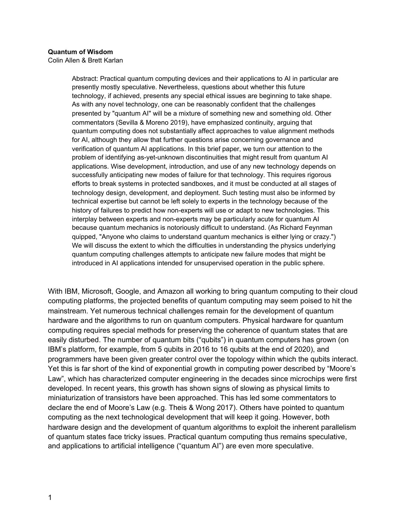## **Quantum of Wisdom**

Colin Allen & Brett Karlan

Abstract: Practical quantum computing devices and their applications to AI in particular are presently mostly speculative. Nevertheless, questions about whether this future technology, if achieved, presents any special ethical issues are beginning to take shape. As with any novel technology, one can be reasonably confident that the challenges presented by "quantum AI" will be a mixture of something new and something old. Other commentators (Sevilla & Moreno 2019), have emphasized continuity, arguing that quantum computing does not substantially affect approaches to value alignment methods for AI, although they allow that further questions arise concerning governance and verification of quantum AI applications. In this brief paper, we turn our attention to the problem of identifying as-yet-unknown discontinuities that might result from quantum AI applications. Wise development, introduction, and use of any new technology depends on successfully anticipating new modes of failure for that technology. This requires rigorous efforts to break systems in protected sandboxes, and it must be conducted at all stages of technology design, development, and deployment. Such testing must also be informed by technical expertise but cannot be left solely to experts in the technology because of the history of failures to predict how non-experts will use or adapt to new technologies. This interplay between experts and non-experts may be particularly acute for quantum AI because quantum mechanics is notoriously difficult to understand. (As Richard Feynman quipped, "Anyone who claims to understand quantum mechanics is either lying or crazy.") We will discuss the extent to which the difficulties in understanding the physics underlying quantum computing challenges attempts to anticipate new failure modes that might be introduced in AI applications intended for unsupervised operation in the public sphere.

With IBM, Microsoft, Google, and Amazon all working to bring quantum computing to their cloud computing platforms, the projected benefits of quantum computing may seem poised to hit the mainstream. Yet numerous technical challenges remain for the development of quantum hardware and the algorithms to run on quantum computers. Physical hardware for quantum computing requires special methods for preserving the coherence of quantum states that are easily disturbed. The number of quantum bits ("qubits") in quantum computers has grown (on IBM's platform, for example, from 5 qubits in 2016 to 16 qubits at the end of 2020), and programmers have been given greater control over the topology within which the qubits interact. Yet this is far short of the kind of exponential growth in computing power described by "Moore's Law", which has characterized computer engineering in the decades since microchips were first developed. In recent years, this growth has shown signs of slowing as physical limits to miniaturization of transistors have been approached. This has led some commentators to declare the end of Moore's Law (e.g. Theis & Wong 2017). Others have pointed to quantum computing as the next technological development that will keep it going. However, both hardware design and the development of quantum algorithms to exploit the inherent parallelism of quantum states face tricky issues. Practical quantum computing thus remains speculative, and applications to artificial intelligence ("quantum AI") are even more speculative.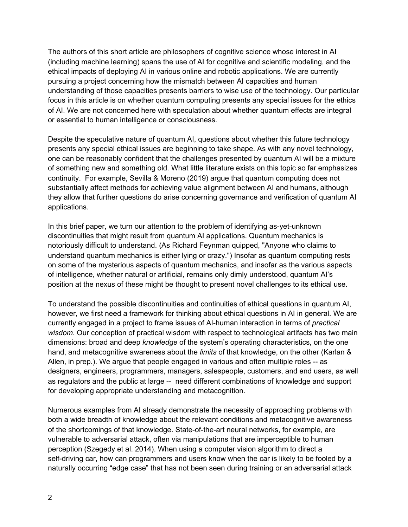The authors of this short article are philosophers of cognitive science whose interest in AI (including machine learning) spans the use of AI for cognitive and scientific modeling, and the ethical impacts of deploying AI in various online and robotic applications. We are currently pursuing a project concerning how the mismatch between AI capacities and human understanding of those capacities presents barriers to wise use of the technology. Our particular focus in this article is on whether quantum computing presents any special issues for the ethics of AI. We are not concerned here with speculation about whether quantum effects are integral or essential to human intelligence or consciousness.

Despite the speculative nature of quantum AI, questions about whether this future technology presents any special ethical issues are beginning to take shape. As with any novel technology, one can be reasonably confident that the challenges presented by quantum AI will be a mixture of something new and something old. What little literature exists on this topic so far emphasizes continuity. For example, Sevilla & Moreno (2019) argue that quantum computing does not substantially affect methods for achieving value alignment between AI and humans, although they allow that further questions do arise concerning governance and verification of quantum AI applications.

In this brief paper, we turn our attention to the problem of identifying as-yet-unknown discontinuities that might result from quantum AI applications. Quantum mechanics is notoriously difficult to understand. (As Richard Feynman quipped, "Anyone who claims to understand quantum mechanics is either lying or crazy.") Insofar as quantum computing rests on some of the mysterious aspects of quantum mechanics, and insofar as the various aspects of intelligence, whether natural or artificial, remains only dimly understood, quantum AI's position at the nexus of these might be thought to present novel challenges to its ethical use.

To understand the possible discontinuities and continuities of ethical questions in quantum AI, however, we first need a framework for thinking about ethical questions in AI in general. We are currently engaged in a project to frame issues of AI-human interaction in terms of *practical wisdom*. Our conception of practical wisdom with respect to technological artifacts has two main dimensions: broad and deep *knowledge* of the system's operating characteristics, on the one hand, and metacognitive awareness about the *limits* of that knowledge, on the other (Karlan & Allen, in prep.). We argue that people engaged in various and often multiple roles -- as designers, engineers, programmers, managers, salespeople, customers, and end users, as well as regulators and the public at large -- need different combinations of knowledge and support for developing appropriate understanding and metacognition.

Numerous examples from AI already demonstrate the necessity of approaching problems with both a wide breadth of knowledge about the relevant conditions and metacognitive awareness of the shortcomings of that knowledge. State-of-the-art neural networks, for example, are vulnerable to adversarial attack, often via manipulations that are imperceptible to human perception (Szegedy et al. 2014). When using a computer vision algorithm to direct a self-driving car, how can programmers and users know when the car is likely to be fooled by a naturally occurring "edge case" that has not been seen during training or an adversarial attack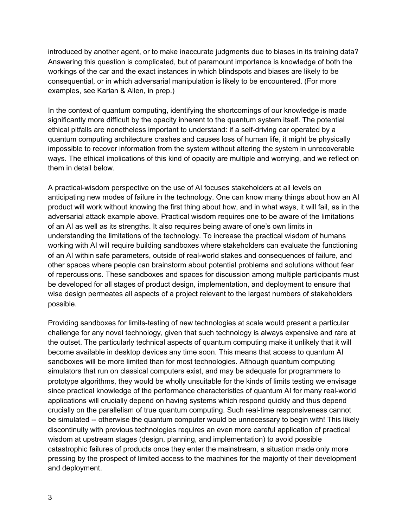introduced by another agent, or to make inaccurate judgments due to biases in its training data? Answering this question is complicated, but of paramount importance is knowledge of both the workings of the car and the exact instances in which blindspots and biases are likely to be consequential, or in which adversarial manipulation is likely to be encountered. (For more examples, see Karlan & Allen, in prep.)

In the context of quantum computing, identifying the shortcomings of our knowledge is made significantly more difficult by the opacity inherent to the quantum system itself. The potential ethical pitfalls are nonetheless important to understand: if a self-driving car operated by a quantum computing architecture crashes and causes loss of human life, it might be physically impossible to recover information from the system without altering the system in unrecoverable ways. The ethical implications of this kind of opacity are multiple and worrying, and we reflect on them in detail below.

A practical-wisdom perspective on the use of AI focuses stakeholders at all levels on anticipating new modes of failure in the technology. One can know many things about how an AI product will work without knowing the first thing about how, and in what ways, it will fail, as in the adversarial attack example above. Practical wisdom requires one to be aware of the limitations of an AI as well as its strengths. It also requires being aware of one's own limits in understanding the limitations of the technology. To increase the practical wisdom of humans working with AI will require building sandboxes where stakeholders can evaluate the functioning of an AI within safe parameters, outside of real-world stakes and consequences of failure, and other spaces where people can brainstorm about potential problems and solutions without fear of repercussions. These sandboxes and spaces for discussion among multiple participants must be developed for all stages of product design, implementation, and deployment to ensure that wise design permeates all aspects of a project relevant to the largest numbers of stakeholders possible.

Providing sandboxes for limits-testing of new technologies at scale would present a particular challenge for any novel technology, given that such technology is always expensive and rare at the outset. The particularly technical aspects of quantum computing make it unlikely that it will become available in desktop devices any time soon. This means that access to quantum AI sandboxes will be more limited than for most technologies. Although quantum computing simulators that run on classical computers exist, and may be adequate for programmers to prototype algorithms, they would be wholly unsuitable for the kinds of limits testing we envisage since practical knowledge of the performance characteristics of quantum AI for many real-world applications will crucially depend on having systems which respond quickly and thus depend crucially on the parallelism of true quantum computing. Such real-time responsiveness cannot be simulated -- otherwise the quantum computer would be unnecessary to begin with! This likely discontinuity with previous technologies requires an even more careful application of practical wisdom at upstream stages (design, planning, and implementation) to avoid possible catastrophic failures of products once they enter the mainstream, a situation made only more pressing by the prospect of limited access to the machines for the majority of their development and deployment.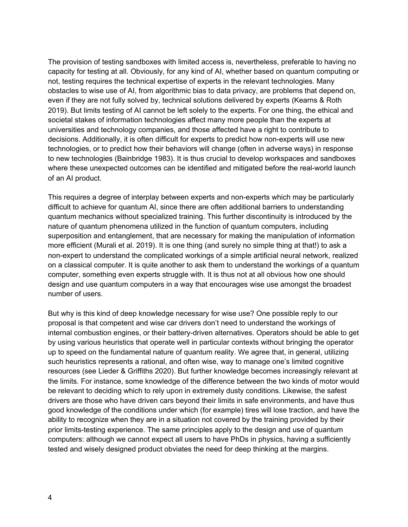The provision of testing sandboxes with limited access is, nevertheless, preferable to having no capacity for testing at all. Obviously, for any kind of AI, whether based on quantum computing or not, testing requires the technical expertise of experts in the relevant technologies. Many obstacles to wise use of AI, from algorithmic bias to data privacy, are problems that depend on, even if they are not fully solved by, technical solutions delivered by experts (Kearns & Roth 2019). But limits testing of AI cannot be left solely to the experts. For one thing, the ethical and societal stakes of information technologies affect many more people than the experts at universities and technology companies, and those affected have a right to contribute to decisions. Additionally, it is often difficult for experts to predict how non-experts will use new technologies, or to predict how their behaviors will change (often in adverse ways) in response to new technologies (Bainbridge 1983). It is thus crucial to develop workspaces and sandboxes where these unexpected outcomes can be identified and mitigated before the real-world launch of an AI product.

This requires a degree of interplay between experts and non-experts which may be particularly difficult to achieve for quantum AI, since there are often additional barriers to understanding quantum mechanics without specialized training. This further discontinuity is introduced by the nature of quantum phenomena utilized in the function of quantum computers, including superposition and entanglement, that are necessary for making the manipulation of information more efficient (Murali et al. 2019). It is one thing (and surely no simple thing at that!) to ask a non-expert to understand the complicated workings of a simple artificial neural network, realized on a classical computer. It is quite another to ask them to understand the workings of a quantum computer, something even experts struggle with. It is thus not at all obvious how one should design and use quantum computers in a way that encourages wise use amongst the broadest number of users.

But why is this kind of deep knowledge necessary for wise use? One possible reply to our proposal is that competent and wise car drivers don't need to understand the workings of internal combustion engines, or their battery-driven alternatives. Operators should be able to get by using various heuristics that operate well in particular contexts without bringing the operator up to speed on the fundamental nature of quantum reality. We agree that, in general, utilizing such heuristics represents a rational, and often wise, way to manage one's limited cognitive resources (see Lieder & Griffiths 2020). But further knowledge becomes increasingly relevant at the limits. For instance, some knowledge of the difference between the two kinds of motor would be relevant to deciding which to rely upon in extremely dusty conditions. Likewise, the safest drivers are those who have driven cars beyond their limits in safe environments, and have thus good knowledge of the conditions under which (for example) tires will lose traction, and have the ability to recognize when they are in a situation not covered by the training provided by their prior limits-testing experience. The same principles apply to the design and use of quantum computers: although we cannot expect all users to have PhDs in physics, having a sufficiently tested and wisely designed product obviates the need for deep thinking at the margins.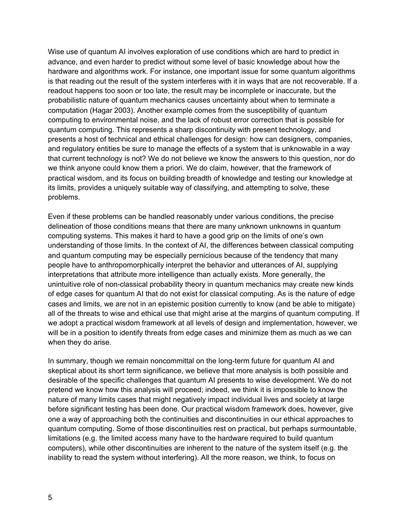Wise use of quantum AI involves exploration of use conditions which are hard to predict in advance, and even harder to predict without some level of basic knowledge about how the hardware and algorithms work. For instance, one important issue for some quantum algorithms is that reading out the result of the system interferes with it in ways that are not recoverable. If a readout happens too soon or too late, the result may be incomplete or inaccurate, but the probabilistic nature of quantum mechanics causes uncertainty about when to terminate a computation (Hagar 2003). Another example comes from the susceptibility of quantum computing to environmental noise, and the lack of robust error correction that is possible for quantum computing. This represents a sharp discontinuity with present technology, and presents a host of technical and ethical challenges for design: how can designers, companies, and regulatory entities be sure to manage the effects of a system that is unknowable in a way that current technology is not? We do not believe we know the answers to this question, nor do we think anyone could know them a priori. We do claim, however, that the framework of practical wisdom, and its focus on building breadth of knowledge and testing our knowledge at its limits, provides a uniquely suitable way of classifying, and attempting to solve, these problems.

Even if these problems can be handled reasonably under various conditions, the precise delineation of those conditions means that there are many unknown unknowns in quantum computing systems. This makes it hard to have a good grip on the limits of one's own understanding of those limits. In the context of AI, the differences between classical computing and quantum computing may be especially pernicious because of the tendency that many people have to anthropomorphically interpret the behavior and utterances of AI, supplying interpretations that attribute more intelligence than actually exists. More generally, the unintuitive role of non-classical probability theory in quantum mechanics may create new kinds of edge cases for quantum AI that do not exist for classical computing. As is the nature of edge cases and limits, we are not in an epistemic position currently to know (and be able to mitigate) all of the threats to wise and ethical use that might arise at the margins of quantum computing. If we adopt a practical wisdom framework at all levels of design and implementation, however, we will be in a position to identify threats from edge cases and minimize them as much as we can when they do arise.

In summary, though we remain noncommittal on the long-term future for quantum AI and skeptical about its short term significance, we believe that more analysis is both possible and desirable of the specific challenges that quantum AI presents to wise development. We do not pretend we know how this analysis will proceed; indeed, we think it is impossible to know the nature of many limits cases that might negatively impact individual lives and society at large before significant testing has been done. Our practical wisdom framework does, however, give one a way of approaching both the continuities and discontinuities in our ethical approaches to quantum computing. Some of those discontinuities rest on practical, but perhaps surmountable, limitations (e.g. the limited access many have to the hardware required to build quantum computers), while other discontinuities are inherent to the nature of the system itself (e.g. the inability to read the system without interfering). All the more reason, we think, to focus on